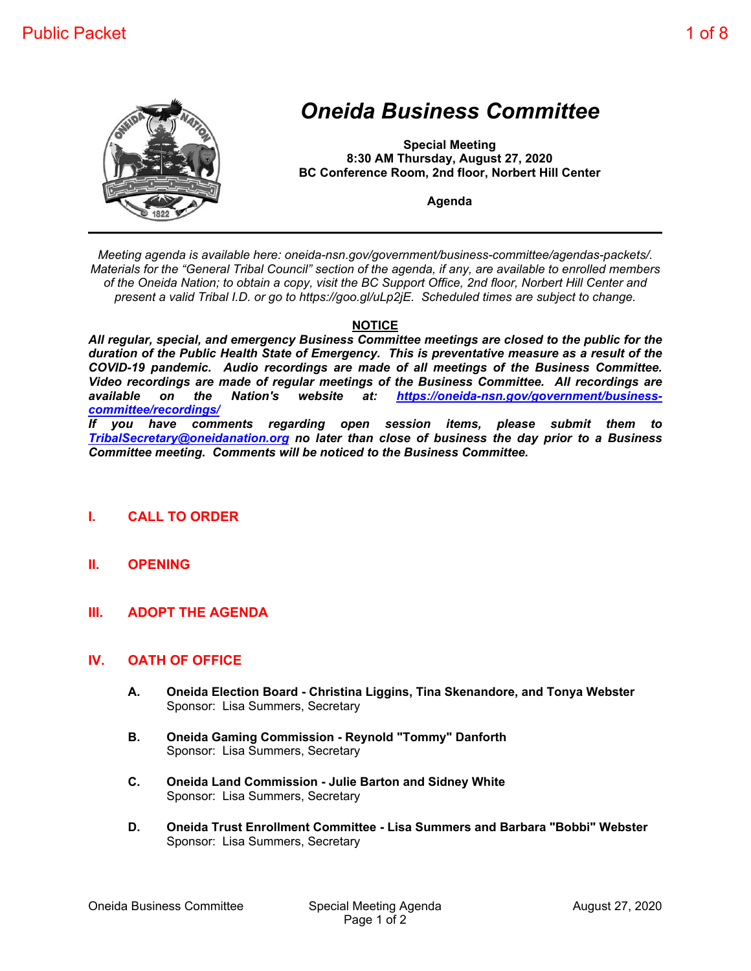

# *Oneida Business Committee*

**Special Meeting 8:30 AM Thursday, August 27, 2020 BC Conference Room, 2nd floor, Norbert Hill Center**

**Agenda**

*Meeting agenda is available here: oneida-nsn.gov/government/business-committee/agendas-packets/. Materials for the "General Tribal Council" section of the agenda, if any, are available to enrolled members of the Oneida Nation; to obtain a copy, visit the BC Support Office, 2nd floor, Norbert Hill Center and present a valid Tribal I.D. or go to https://goo.gl/uLp2jE. Scheduled times are subject to change.*

#### **NOTICE**

*All regular, special, and emergency Business Committee meetings are closed to the public for the duration of the Public Health State of Emergency. This is preventative measure as a result of the COVID-19 pandemic. Audio recordings are made of all meetings of the Business Committee. Video recordings are made of regular meetings of the Business Committee. All recordings are available on the Nation's website at: https://oneida-nsn.gov/government/businesscommittee/recordings/*

*If you have comments regarding open session items, please submit them to TribalSecretary@oneidanation.org no later than close of business the day prior to a Business Committee meeting. Comments will be noticed to the Business Committee.*

#### **I. CALL TO ORDER**

- **II. OPENING**
- **III. ADOPT THE AGENDA**

#### **IV. OATH OF OFFICE**

- **A. Oneida Election Board Christina Liggins, Tina Skenandore, and Tonya Webster** Sponsor: Lisa Summers, Secretary
- **B. Oneida Gaming Commission Reynold "Tommy" Danforth** Sponsor: Lisa Summers, Secretary
- **C. Oneida Land Commission Julie Barton and Sidney White** Sponsor: Lisa Summers, Secretary
- **D. Oneida Trust Enrollment Committee Lisa Summers and Barbara "Bobbi" Webster** Sponsor: Lisa Summers, Secretary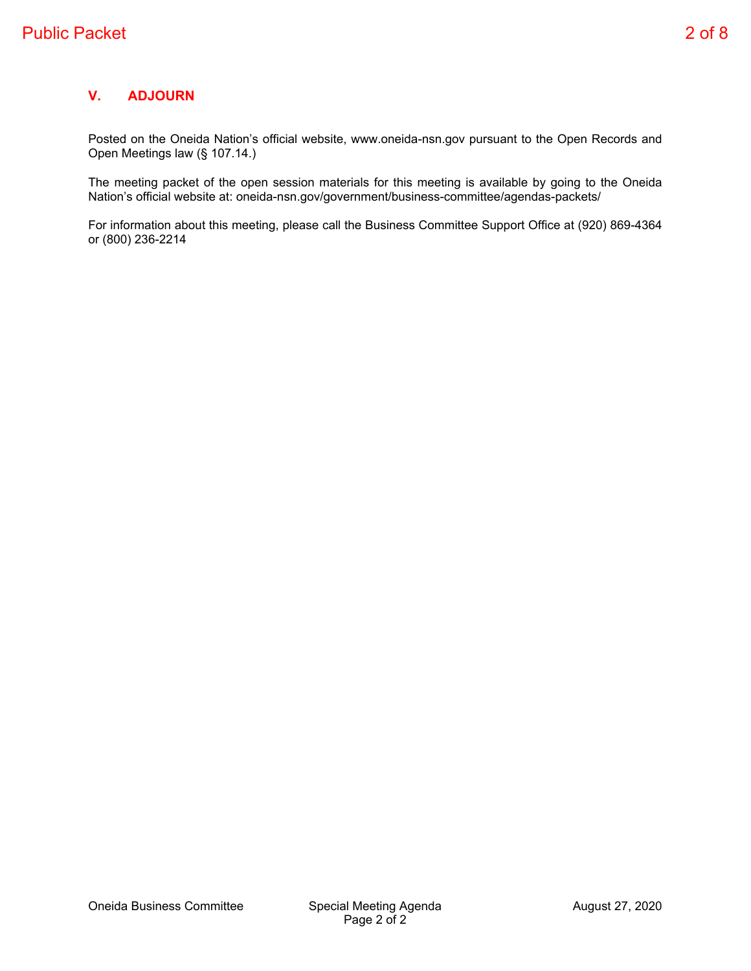Posted on the Oneida Nation's official website, www.oneida-nsn.gov pursuant to the Open Records and Open Meetings law (§ 107.14.)

The meeting packet of the open session materials for this meeting is available by going to the Oneida Nation's official website at: oneida-nsn.gov/government/business-committee/agendas-packets/

For information about this meeting, please call the Business Committee Support Office at (920) 869-4364 or (800) 236-2214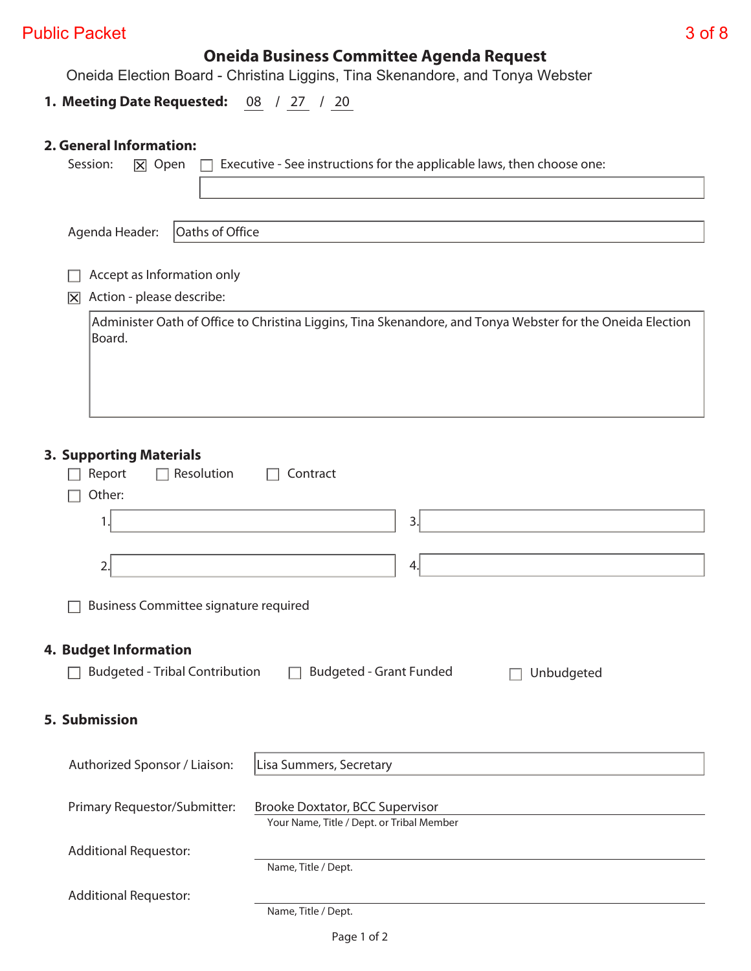### Public Packet 3 of 8

### **Oneida Business Committee Agenda Request**

Oneida Election Board - Christina Liggins, Tina Skenandore, and Tonya Webster

#### **1. Meeting Date Requested:** 08 / 27 / 20

#### **2. General Information:**

| Executive - See instructions for the applicable laws, then choose one:<br>Session:<br>$ \overline{\mathsf{x}} $ Open |
|----------------------------------------------------------------------------------------------------------------------|
|                                                                                                                      |
|                                                                                                                      |
| Oaths of Office<br>Agenda Header:                                                                                    |
| Accept as Information only                                                                                           |
| Action - please describe:<br>$ \overline{\mathsf{x}} $                                                               |
| Administer Oath of Office to Christina Liggins, Tina Skenandore, and Tonya Webster for the Oneida Election<br>Board. |
| <b>3. Supporting Materials</b><br>Resolution<br>Report<br>Contract<br>Other:                                         |
| 3.<br>1.                                                                                                             |
| 2.<br>4.                                                                                                             |
| <b>Business Committee signature required</b>                                                                         |
| <b>4. Budget Information</b>                                                                                         |
| <b>Budgeted - Tribal Contribution</b><br><b>Budgeted - Grant Funded</b><br>Unbudgeted                                |
| 5. Submission                                                                                                        |
| Authorized Sponsor / Liaison:<br>Lisa Summers, Secretary                                                             |
| Primary Requestor/Submitter:<br>Brooke Doxtator, BCC Supervisor<br>Your Name, Title / Dept. or Tribal Member         |
| <b>Additional Requestor:</b><br>Name, Title / Dept.                                                                  |
| <b>Additional Requestor:</b><br>Name, Title / Dept.                                                                  |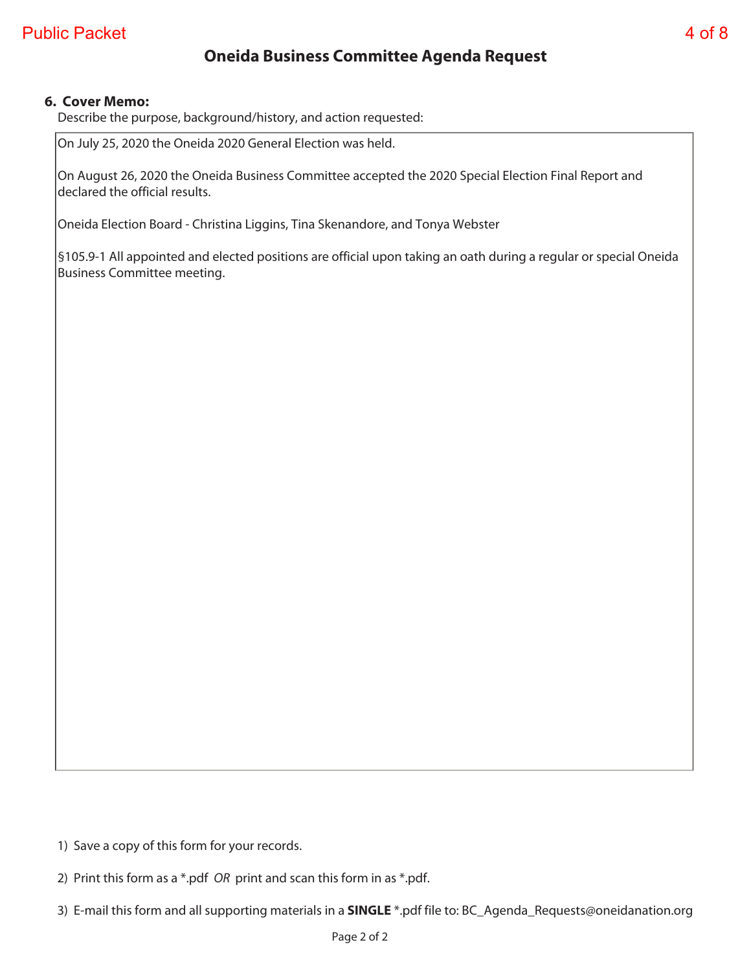### **Oneida Business Committee Agenda Request**

#### **6. Cover Memo:**

Describe the purpose, background/history, and action requested:

On July 25, 2020 the Oneida 2020 General Election was held.

On August 26, 2020 the Oneida Business Committee accepted the 2020 Special Election Final Report and declared the official results.

Oneida Election Board - Christina Liggins, Tina Skenandore, and Tonya Webster

§105.9-1 All appointed and elected positions are official upon taking an oath during a regular or special Oneida Business Committee meeting.

1) Save a copy of this form for your records.

2) Print this form as a \*.pdf OR print and scan this form in as \*.pdf.

3) E-mail this form and all supporting materials in a **SINGLE** \*.pdf file to: BC\_Agenda\_Requests@oneidanation.org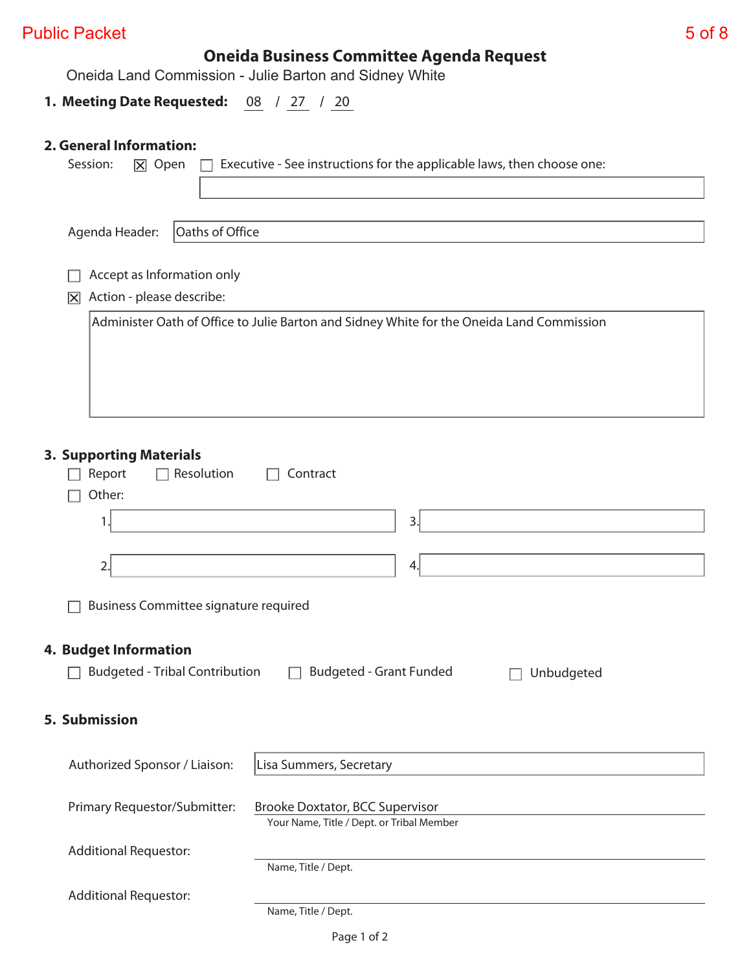### Public Packet 5 of 8

# **Oneida Business Committee Agenda Request**

Oneida Land Commission - Julie Barton and Sidney White

### **1. Meeting Date Requested:** 08 / 27 / 20

#### **2. General Information:**

| Session:<br>Executive - See instructions for the applicable laws, then choose one:<br>X Open                        |  |
|---------------------------------------------------------------------------------------------------------------------|--|
|                                                                                                                     |  |
|                                                                                                                     |  |
| Oaths of Office<br>Agenda Header:                                                                                   |  |
| Accept as Information only                                                                                          |  |
| Action - please describe:<br>冈                                                                                      |  |
| Administer Oath of Office to Julie Barton and Sidney White for the Oneida Land Commission                           |  |
|                                                                                                                     |  |
|                                                                                                                     |  |
|                                                                                                                     |  |
|                                                                                                                     |  |
|                                                                                                                     |  |
| <b>3. Supporting Materials</b><br>Resolution<br>Report<br>Contract                                                  |  |
| Other:                                                                                                              |  |
| 3.<br>1.                                                                                                            |  |
|                                                                                                                     |  |
| 2.<br>4.                                                                                                            |  |
|                                                                                                                     |  |
| <b>Business Committee signature required</b>                                                                        |  |
| <b>4. Budget Information</b>                                                                                        |  |
| <b>Budgeted - Tribal Contribution</b><br><b>Budgeted - Grant Funded</b><br>Unbudgeted                               |  |
|                                                                                                                     |  |
| 5. Submission                                                                                                       |  |
|                                                                                                                     |  |
| Lisa Summers, Secretary<br>Authorized Sponsor / Liaison:                                                            |  |
|                                                                                                                     |  |
| Primary Requestor/Submitter:<br><b>Brooke Doxtator, BCC Supervisor</b><br>Your Name, Title / Dept. or Tribal Member |  |
|                                                                                                                     |  |
| <b>Additional Requestor:</b><br>Name, Title / Dept.                                                                 |  |
| <b>Additional Requestor:</b>                                                                                        |  |
| Name, Title / Dept.                                                                                                 |  |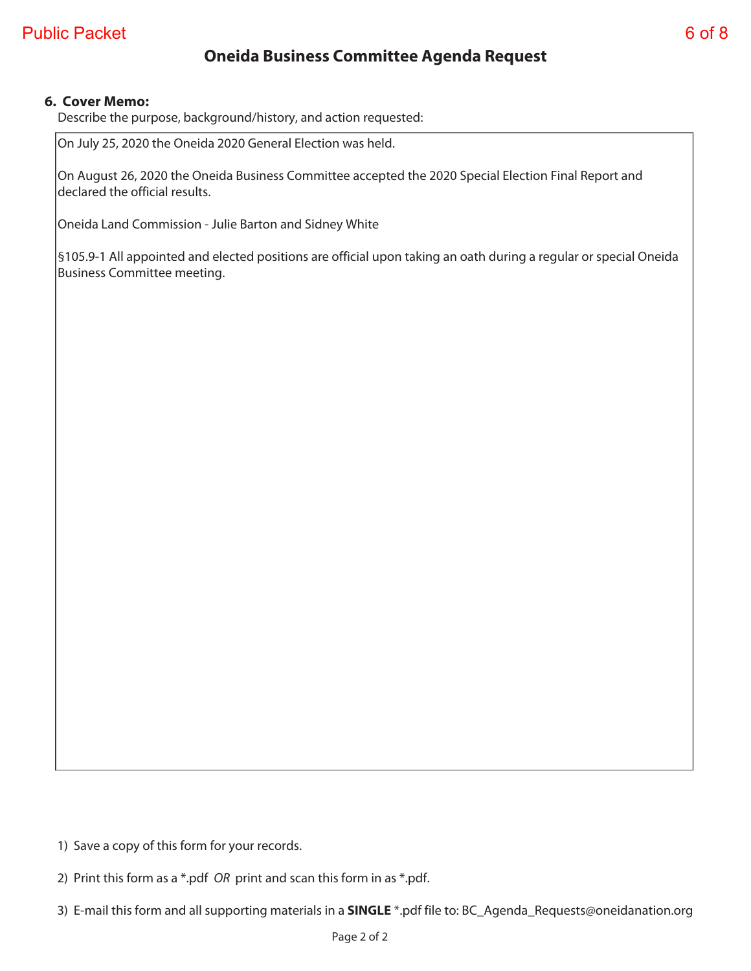### **Oneida Business Committee Agenda Request**

#### **6. Cover Memo:**

Describe the purpose, background/history, and action requested:

On July 25, 2020 the Oneida 2020 General Election was held.

On August 26, 2020 the Oneida Business Committee accepted the 2020 Special Election Final Report and declared the official results.

Oneida Land Commission - Julie Barton and Sidney White

§105.9-1 All appointed and elected positions are official upon taking an oath during a regular or special Oneida Business Committee meeting.

1) Save a copy of this form for your records.

2) Print this form as a \*.pdf OR print and scan this form in as \*.pdf.

3) E-mail this form and all supporting materials in a **SINGLE** \*.pdf file to: BC\_Agenda\_Requests@oneidanation.org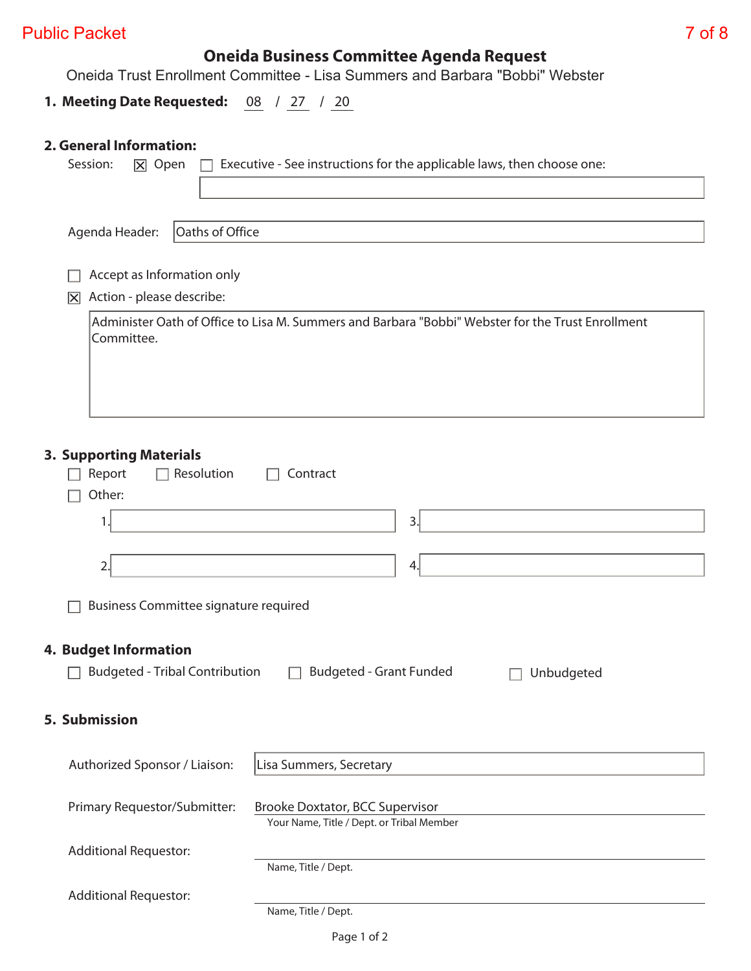### Public Packet 7 of 8

## **Oneida Business Committee Agenda Request**

Oneida Trust Enrollment Committee - Lisa Summers and Barbara "Bobbi" Webster

#### **1. Meeting Date Requested:** 08 / 27 / 20

#### **2. General Information:**

| Executive - See instructions for the applicable laws, then choose one:<br>Session:<br>$ \overline{\mathsf{x}} $ Open |
|----------------------------------------------------------------------------------------------------------------------|
|                                                                                                                      |
| Oaths of Office<br>Agenda Header:                                                                                    |
| Accept as Information only                                                                                           |
| Action - please describe:<br>$ \overline{\mathsf{x}} $                                                               |
| Administer Oath of Office to Lisa M. Summers and Barbara "Bobbi" Webster for the Trust Enrollment<br>Committee.      |
| <b>3. Supporting Materials</b><br>Resolution<br>Report<br>Contract<br>Other:                                         |
| 3.<br>1.                                                                                                             |
|                                                                                                                      |
| 2.<br>4.                                                                                                             |
| <b>Business Committee signature required</b>                                                                         |
| <b>4. Budget Information</b>                                                                                         |
| <b>Budgeted - Tribal Contribution</b><br><b>Budgeted - Grant Funded</b><br>Unbudgeted                                |
| 5. Submission                                                                                                        |
| Authorized Sponsor / Liaison:<br>Lisa Summers, Secretary                                                             |
| Primary Requestor/Submitter:<br><b>Brooke Doxtator, BCC Supervisor</b><br>Your Name, Title / Dept. or Tribal Member  |
| <b>Additional Requestor:</b>                                                                                         |
| Name, Title / Dept.                                                                                                  |
| <b>Additional Requestor:</b><br>Name, Title / Dept.                                                                  |